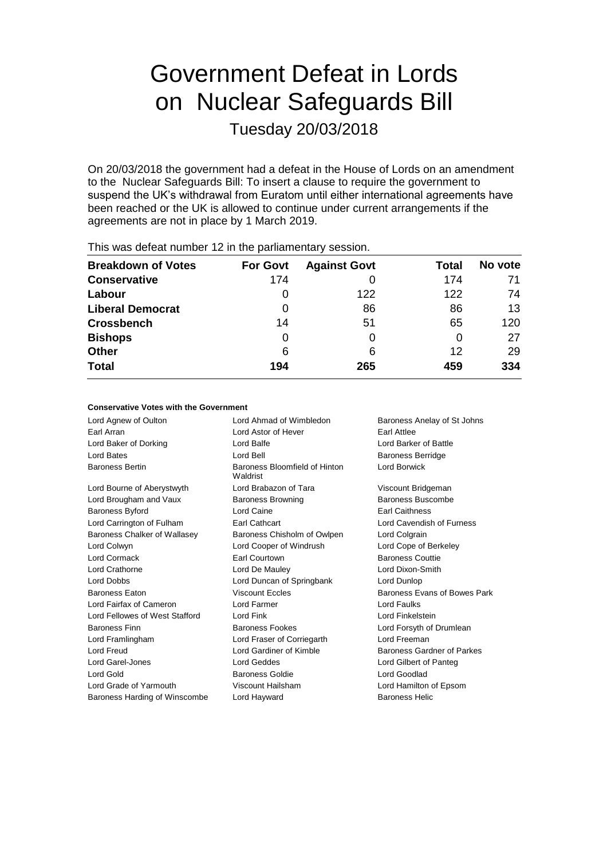# Government Defeat in Lords on Nuclear Safeguards Bill

Tuesday 20/03/2018

On 20/03/2018 the government had a defeat in the House of Lords on an amendment to the Nuclear Safeguards Bill: To insert a clause to require the government to suspend the UK's withdrawal from Euratom until either international agreements have been reached or the UK is allowed to continue under current arrangements if the agreements are not in place by 1 March 2019.

| <b>Breakdown of Votes</b> | <b>For Govt</b> | <b>Against Govt</b> | Total | No vote |
|---------------------------|-----------------|---------------------|-------|---------|
| <b>Conservative</b>       | 174             |                     | 174   | 71      |
| Labour                    | O               | 122                 | 122   | 74      |
| <b>Liberal Democrat</b>   | 0               | 86                  | 86    | 13      |
| <b>Crossbench</b>         | 14              | 51                  | 65    | 120     |
| <b>Bishops</b>            | 0               | 0                   | 0     | 27      |
| <b>Other</b>              | 6               | 6                   | 12    | 29      |
| <b>Total</b>              | 194             | 265                 | 459   | 334     |
|                           |                 |                     |       |         |

This was defeat number 12 in the parliamentary session.

#### **Conservative Votes with the Government**

Lord Agnew of Oulton **Lord Ahmad of Wimbledon** Baroness Anelay of St Johns Earl Arran Lord Astor of Hever Earl Attlee Lord Baker of Dorking Lord Balfe Lord Barker of Battle Lord Bates **Lord Bell** Baroness Berridge **Lord Bates** Baroness Berridge Baroness Bertin Baroness Bloomfield of Hinton Waldrist Lord Borwick Lord Bourne of Aberystwyth Lord Brabazon of Tara Viscount Bridgeman Lord Brougham and Vaux **Baroness Browning** Baroness Buscombe Baroness Byford Lord Caine Earl Caithness Lord Carrington of Fulham Earl Cathcart Lord Cavendish of Furness Baroness Chalker of Wallasey Baroness Chisholm of Owlpen Lord Colgrain Lord Colwyn Lord Cooper of Windrush Lord Cope of Berkeley Lord Cormack **Earl Courtown** Earl Courtown **Baroness Couttie** Lord Crathorne Lord De Mauley Lord Dixon-Smith Lord Dobbs Lord Duncan of Springbank Lord Dunlop Baroness Eaton **Baroness Evans In the State Control Viscount Eccles** Baroness Evans of Bowes Park Lord Fairfax of Cameron Lord Farmer Lord Faulks Lord Fellowes of West Stafford Lord Fink Lord Fink Lord Finkelstein Baroness Finn **Baroness Fookes** Lord Forsyth of Drumlean Lord Framlingham Lord Fraser of Corriegarth Lord Freeman Lord Freud Lord Gardiner of Kimble Baroness Gardner of Parkes Lord Garel-Jones Lord Geddes Lord Gilbert of Panteg Lord Gold **Baroness Goldie Community** Baroness Goldie **Lord Goodlad** Lord Grade of Yarmouth Viscount Hailsham Lord Hamilton of Epsom Baroness Harding of Winscombe Lord Hayward Baroness Helic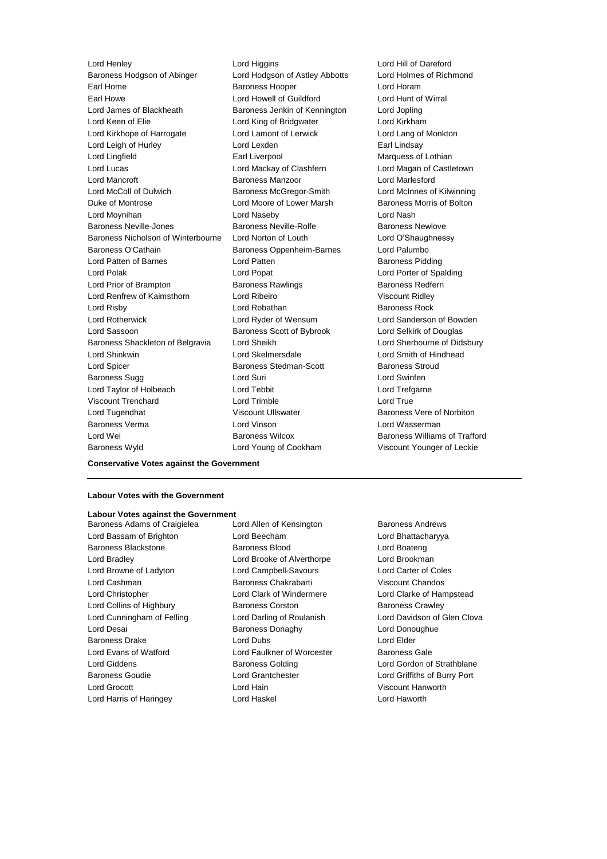Lord Henley **Lord Higgins** Lord Higgins **Lord Hill of Oareford**<br> **Baroness Hodason of Abinger** Lord Hodason of Astley Abbotts Lord Holmes of Richmond Baroness Hodgson of Abinger Lord Hodgson of Astley Abbotts Earl Home **Baroness Hooper Baroness Hooper Lord Horam** Earl Howe Lord Howell of Guildford Lord Hunt of Wirral<br>
Lord James of Blackheath Baroness Jenkin of Kennington Lord Jopling Lord James of Blackheath Baroness Jenkin of Kennington Lord Keen of Elie **Lord King of Bridgwater** Lord Kirkham Lord Kirkhope of Harrogate Lord Lamont of Lerwick Lord Lang of Monkton Lord Leigh of Hurley **Lord Lexden** Lord Lexden **Earl Lindsay** Lord Lingfield **Earl Liverpool** Earl Liverpool Marquess of Lothian Lord Lucas Lord Mackay of Clashfern Lord Magan of Castletown Lord Mancroft Baroness Manzoor Lord Marlesford Lord McColl of Dulwich Baroness McGregor-Smith Lord McInnes of Kilwinning Duke of Montrose **Lord Moore of Lower Marsh** Baroness Morris of Bolton Lord Moynihan Lord Naseby Lord Nash Baroness Neville-Jones Baroness Neville-Rolfe Baroness Newlove Baroness Nicholson of Winterbourne Lord Norton of Louth Lord O'Shaughnessy Baroness O'Cathain **Baroness Oppenheim-Barnes** Lord Palumbo Lord Patten of Barnes **Lord Patten** Lord Patten **Baroness Pidding** Lord Polak Lord Popat Lord Porter of Spalding Lord Prior of Brampton **Baroness Rawlings** Baroness Redfern Lord Renfrew of Kaimsthorn Lord Ribeiro Viscount Ridley Lord Risby **Lord Robathan** Baroness Rock Lord Rotherwick Lord Ryder of Wensum Lord Sanderson of Bowden Lord Sassoon **Baroness Scott of Bybrook** Lord Selkirk of Douglas Baroness Shackleton of Belgravia Lord Sheikh Lord Sherbourne of Didsbury Lord Shinkwin Lord Skelmersdale Lord Smith of Hindhead Lord Spicer Baroness Stedman-Scott Baroness Stroud Baroness Sugg **Lord Suri Lord Suri Lord Swinfen** Lord Taylor of Holbeach Lord Tebbit Lord Trefgarne Viscount Trenchard Lord Trimble Lord True Lord Tugendhat **Night Communist Communist Communist Communist Communist Communist Communist Communist Communist Communist Communist Communist Communist Communist Communist Communist Communist Communist Communist Communist** Baroness Verma Lord Vinson Lord Wasserman Lord Wei Baroness Wilcox Baroness Williams of Trafford

Baroness Wyld Lord Young of Cookham Viscount Younger of Leckie

### **Labour Votes with the Government**

**Conservative Votes against the Government**

## **Labour Votes against the Government**

Lord Bassam of Brighton Lord Beecham Lord Bhattacharyya Baroness Blackstone Baroness Blood Lord Boateng Lord Bradley Lord Brooke of Alverthorpe Lord Brookman Lord Browne of Ladyton Lord Campbell-Savours Lord Carter of Coles Lord Cashman Baroness Chakrabarti Viscount Chandos Lord Christopher Lord Clark of Windermere Lord Clarke of Hampstead Lord Collins of Highbury **Baroness Corston** Baroness Crawley Lord Cunningham of Felling **Lord Darling of Roulanish Lord Davidson of Glen Clova** Lord Desai **Baroness Donaghy Lord Donoughue Baroness Donaghy** Lord Donoughue Baroness Drake Lord Dubs Lord Elder Lord Evans of Watford **Lord Faulkner of Worcester** Baroness Gale Lord Giddens Baroness Golding Lord Gordon of Strathblane Baroness Goudie Lord Grantchester Lord Griffiths of Burry Port Lord Grocott Lord Hain Viscount Hanworth Lord Harris of Haringey Lord Haskel Lord Haworth

Baroness Adams of Craigielea Lord Allen of Kensington Baroness Andrews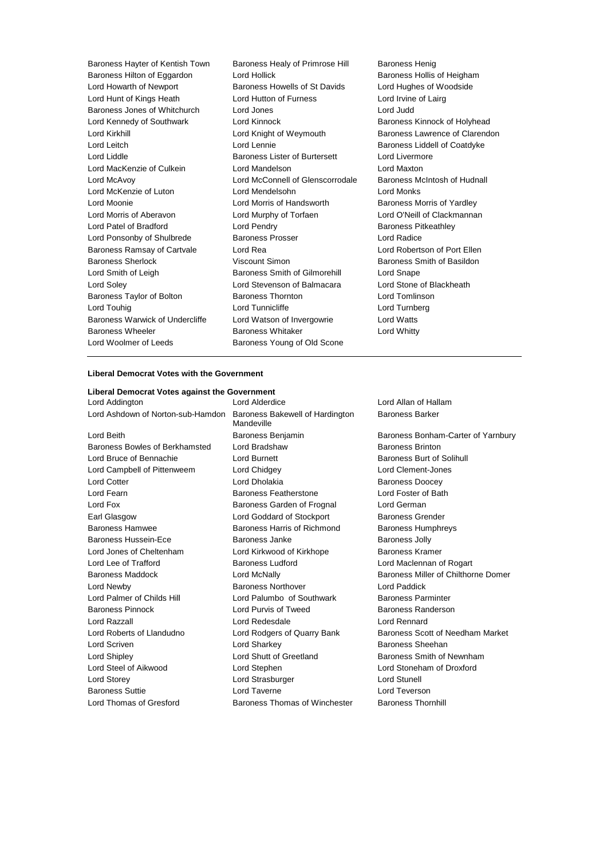Baroness Hayter of Kentish Town Baroness Healy of Primrose Hill Baroness Henig<br>Baroness Hilton of Eggardon Lord Hollick Baroness Hollis of Heigham Baroness Hilton of Eggardon Lord Hollick Baroness Hollis of Heighain<br>
Lord Howarth of Newport Baroness Howells of St Davids Lord Hughes of Woodside Lord Howarth of Newport Baroness Howells of St Davids Lord Hunt of Kings Heath Lord Hutton of Furness Lord Irvine of Lairg Baroness Jones of Whitchurch Lord Jones Lord Judd Lord Kennedy of Southwark Lord Kinnock **Baroness Kinnock of Holyhead** Lord Kirkhill **Lord Knight of Weymouth** Baroness Lawrence of Clarendon Lord Leitch Lord Lennie Baroness Liddell of Coatdyke Lord Liddle Baroness Lister of Burtersett Lord Livermore Lord MacKenzie of Culkein Lord Mandelson Lord Maxton Lord McAvoy Lord McConnell of Glenscorrodale Baroness McIntosh of Hudnall Lord McKenzie of Luton Lord Mendelsohn Lord Monks Lord Moonie **Lord Moonie** Lord Morris of Handsworth **Baroness Morris of Yardley** Lord Morris of Aberavon Lord Murphy of Torfaen Lord O'Neill of Clackmannan Lord Patel of Bradford **Lord Pendry Community** Baroness Pitkeathley Lord Ponsonby of Shulbrede Baroness Prosser Lord Radice Baroness Ramsay of Cartvale Lord Rea Lord Robertson of Port Ellen Baroness Sherlock **Martings** Viscount Simon **Baroness Smith of Basildon** Lord Smith of Leigh Baroness Smith of Gilmorehill Lord Snape Lord Soley Lord Stevenson of Balmacara Lord Stone of Blackheath Baroness Taylor of Bolton **Baroness Thornton** Baroness Thornton Lord Tomlinson Lord Touhig Lord Tunnicliffe Lord Turnberg Baroness Warwick of Undercliffe Lord Watson of Invergowrie Lord Watts Baroness Wheeler **Baroness Whitaker** Lord Whitty Lord Woolmer of Leeds Baroness Young of Old Scone

### **Liberal Democrat Votes with the Government**

| Liberal Democrat Votes against the Government                     |                             |                                     |
|-------------------------------------------------------------------|-----------------------------|-------------------------------------|
| Lord Addington                                                    | Lord Alderdice              | Lord Allan of Hallam                |
| Lord Ashdown of Norton-sub-Hamdon Baroness Bakewell of Hardington | Mandeville                  | <b>Baroness Barker</b>              |
| Lord Beith                                                        | Baroness Benjamin           | Baroness Bonham-Carter of Yarnbury  |
| Baroness Bowles of Berkhamsted                                    | Lord Bradshaw               | <b>Baroness Brinton</b>             |
| Lord Bruce of Bennachie                                           | Lord Burnett                | Baroness Burt of Solihull           |
| Lord Campbell of Pittenweem                                       | Lord Chidgey                | Lord Clement-Jones                  |
| <b>Lord Cotter</b>                                                | Lord Dholakia               | <b>Baroness Doocey</b>              |
| Lord Fearn                                                        | Baroness Featherstone       | Lord Foster of Bath                 |
| Lord Fox                                                          | Baroness Garden of Frognal  | Lord German                         |
| Earl Glasgow                                                      | Lord Goddard of Stockport   | <b>Baroness Grender</b>             |
| Baroness Hamwee                                                   | Baroness Harris of Richmond | <b>Baroness Humphreys</b>           |
| Baroness Hussein-Ece                                              | Baroness Janke              | <b>Baroness Jolly</b>               |
| Lord Jones of Cheltenham                                          | Lord Kirkwood of Kirkhope   | <b>Baroness Kramer</b>              |
| Lord Lee of Trafford                                              | Baroness Ludford            | Lord Maclennan of Rogart            |
| Baroness Maddock                                                  | Lord McNally                | Baroness Miller of Chilthorne Domer |
| Lord Newby                                                        | <b>Baroness Northover</b>   | Lord Paddick                        |
| Lord Palmer of Childs Hill                                        | Lord Palumbo of Southwark   | <b>Baroness Parminter</b>           |
| <b>Baroness Pinnock</b>                                           | Lord Purvis of Tweed        | Baroness Randerson                  |
| Lord Razzall                                                      | Lord Redesdale              | Lord Rennard                        |
| Lord Roberts of Llandudno                                         | Lord Rodgers of Quarry Bank | Baroness Scott of Needham Market    |
| Lord Scriven                                                      | Lord Sharkey                | Baroness Sheehan                    |
| Lord Shipley                                                      | Lord Shutt of Greetland     | Baroness Smith of Newnham           |
| Lord Steel of Aikwood                                             | Lord Stephen                | Lord Stoneham of Droxford           |
| Lord Storey                                                       | Lord Strasburger            | Lord Stunell                        |
| <b>Baroness Suttie</b>                                            | Lord Taverne                | Lord Teverson                       |

Lord Thomas of Gresford Baroness Thomas of Winchester Baroness Thornhill